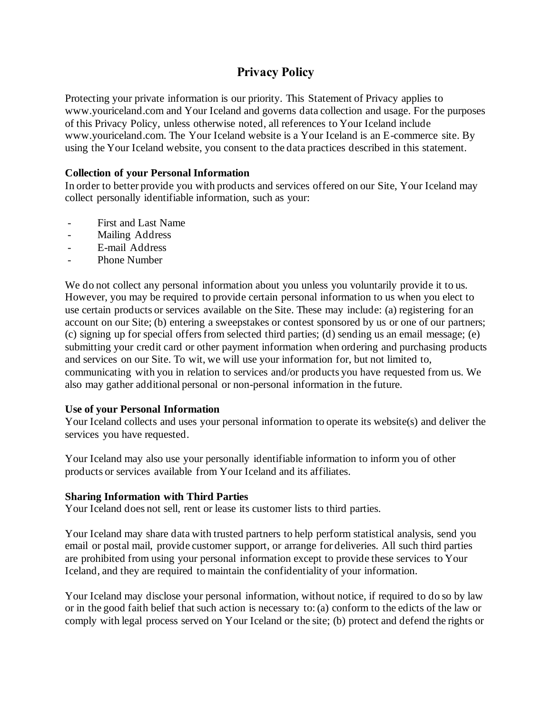# **Privacy Policy**

Protecting your private information is our priority. This Statement of Privacy applies to www.youriceland.com and Your Iceland and governs data collection and usage. For the purposes of this Privacy Policy, unless otherwise noted, all references to Your Iceland include www.youriceland.com. The Your Iceland website is a Your Iceland is an E-commerce site. By using the Your Iceland website, you consent to the data practices described in this statement.

# **Collection of your Personal Information**

In order to better provide you with products and services offered on our Site, Your Iceland may collect personally identifiable information, such as your:

- First and Last Name
- Mailing Address
- E-mail Address
- Phone Number

We do not collect any personal information about you unless you voluntarily provide it to us. However, you may be required to provide certain personal information to us when you elect to use certain products or services available on the Site. These may include: (a) registering for an account on our Site; (b) entering a sweepstakes or contest sponsored by us or one of our partners; (c) signing up for special offers from selected third parties; (d) sending us an email message; (e) submitting your credit card or other payment information when ordering and purchasing products and services on our Site. To wit, we will use your information for, but not limited to, communicating with you in relation to services and/or products you have requested from us. We also may gather additional personal or non-personal information in the future.

## **Use of your Personal Information**

Your Iceland collects and uses your personal information to operate its website(s) and deliver the services you have requested.

Your Iceland may also use your personally identifiable information to inform you of other products or services available from Your Iceland and its affiliates.

## **Sharing Information with Third Parties**

Your Iceland does not sell, rent or lease its customer lists to third parties.

Your Iceland may share data with trusted partners to help perform statistical analysis, send you email or postal mail, provide customer support, or arrange for deliveries. All such third parties are prohibited from using your personal information except to provide these services to Your Iceland, and they are required to maintain the confidentiality of your information.

Your Iceland may disclose your personal information, without notice, if required to do so by law or in the good faith belief that such action is necessary to: (a) conform to the edicts of the law or comply with legal process served on Your Iceland or the site; (b) protect and defend the rights or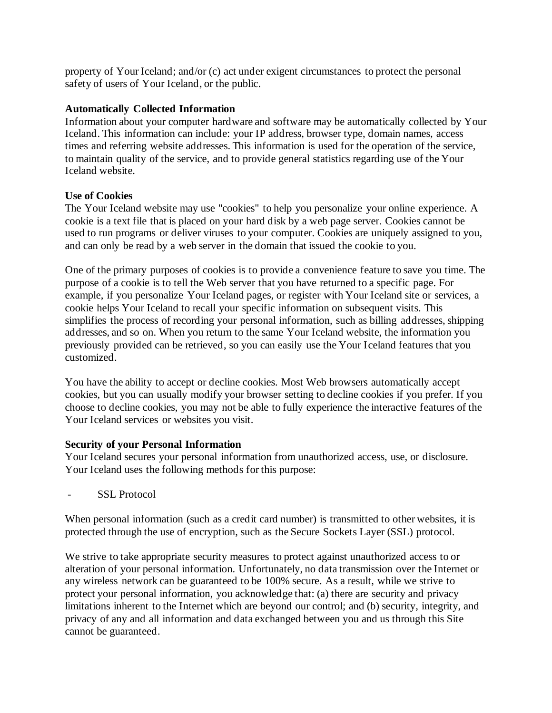property of Your Iceland; and/or (c) act under exigent circumstances to protect the personal safety of users of Your Iceland, or the public.

# **Automatically Collected Information**

Information about your computer hardware and software may be automatically collected by Your Iceland. This information can include: your IP address, browser type, domain names, access times and referring website addresses. This information is used for the operation of the service, to maintain quality of the service, and to provide general statistics regarding use of the Your Iceland website.

# **Use of Cookies**

The Your Iceland website may use "cookies" to help you personalize your online experience. A cookie is a text file that is placed on your hard disk by a web page server. Cookies cannot be used to run programs or deliver viruses to your computer. Cookies are uniquely assigned to you, and can only be read by a web server in the domain that issued the cookie to you.

One of the primary purposes of cookies is to provide a convenience feature to save you time. The purpose of a cookie is to tell the Web server that you have returned to a specific page. For example, if you personalize Your Iceland pages, or register with Your Iceland site or services, a cookie helps Your Iceland to recall your specific information on subsequent visits. This simplifies the process of recording your personal information, such as billing addresses, shipping addresses, and so on. When you return to the same Your Iceland website, the information you previously provided can be retrieved, so you can easily use the Your Iceland features that you customized.

You have the ability to accept or decline cookies. Most Web browsers automatically accept cookies, but you can usually modify your browser setting to decline cookies if you prefer. If you choose to decline cookies, you may not be able to fully experience the interactive features of the Your Iceland services or websites you visit.

## **Security of your Personal Information**

Your Iceland secures your personal information from unauthorized access, use, or disclosure. Your Iceland uses the following methods for this purpose:

SSL Protocol

When personal information (such as a credit card number) is transmitted to other websites, it is protected through the use of encryption, such as the Secure Sockets Layer (SSL) protocol.

We strive to take appropriate security measures to protect against unauthorized access to or alteration of your personal information. Unfortunately, no data transmission over the Internet or any wireless network can be guaranteed to be 100% secure. As a result, while we strive to protect your personal information, you acknowledge that: (a) there are security and privacy limitations inherent to the Internet which are beyond our control; and (b) security, integrity, and privacy of any and all information and data exchanged between you and us through this Site cannot be guaranteed.